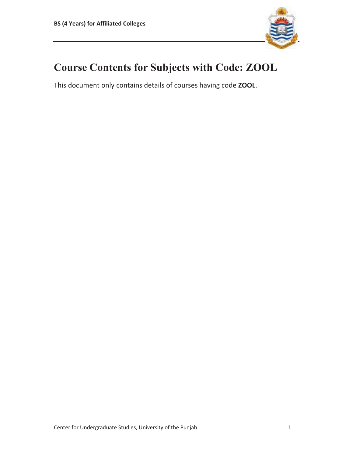

# **Course Contents for Subjects with Code: ZOOL**

This document only contains details of courses having code **ZOOL**.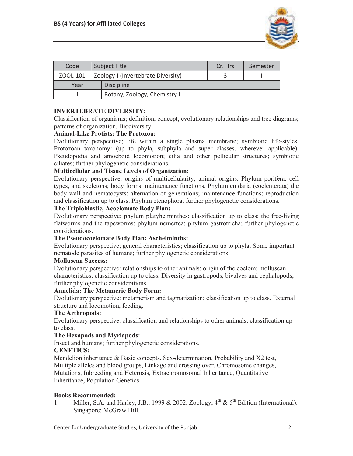

| Code     | <b>Subject Title</b> |                                    | Cr. Hrs | Semester |
|----------|----------------------|------------------------------------|---------|----------|
| ZOOL-101 |                      | Zoology-I (Invertebrate Diversity) |         |          |
| Year     |                      | <b>Discipline</b>                  |         |          |
|          |                      | Botany, Zoology, Chemistry-I       |         |          |

# **INVERTEBRATE DIVERSITY:**

Classification of organisms; definition, concept, evolutionary relationships and tree diagrams; patterns of organization. Biodiversity.

## **Animal-Like Protists: The Protozoa:**

Evolutionary perspective; life within a single plasma membrane; symbiotic life-styles. Protozoan taxonomy: (up to phyla, subphyla and super classes, wherever applicable). Pseudopodia and amoeboid locomotion; cilia and other pellicular structures; symbiotic ciliates; further phylogenetic considerations.

## **Multicellular and Tissue Levels of Organization:**

Evolutionary perspective: origins of multicellularity; animal origins. Phylum porifera: cell types, and skeletons; body forms; maintenance functions. Phylum cnidaria (coelenterata) the body wall and nematocysts; alternation of generations; maintenance functions; reproduction and classification up to class. Phylum ctenophora; further phylogenetic considerations.

#### **The Triploblastic, Acoelomate Body Plan:**

Evolutionary perspective; phylum platyhelminthes: classification up to class; the free-living flatworms and the tapeworms; phylum nemertea; phylum gastrotricha; further phylogenetic considerations.

#### **The Pseudocoelomate Body Plan: Aschelminths:**

Evolutionary perspective; general characteristics; classification up to phyla; Some important nematode parasites of humans; further phylogenetic considerations.

#### **Molluscan Success:**

Evolutionary perspective: relationships to other animals; origin of the coelom; molluscan characteristics; classification up to class. Diversity in gastropods, bivalves and cephalopods; further phylogenetic considerations.

## **Annelida: The Metameric Body Form:**

Evolutionary perspective: metamerism and tagmatization; classification up to class. External structure and locomotion, feeding.

#### **The Arthropods:**

Evolutionary perspective: classification and relationships to other animals; classification up to class.

# **The Hexapods and Myriapods:**

Insect and humans; further phylogenetic considerations.

#### **GENETICS:**

Mendelion inheritance & Basic concepts, Sex-determination, Probability and X2 test, Multiple alleles and blood groups, Linkage and crossing over, Chromosome changes, Mutations, Inbreeding and Heterosis, Extrachromosomal Inheritance, Quantitative Inheritance, Population Genetics

#### **Books Recommended:**

1. Miller, S.A. and Harley, J.B., 1999 & 2002. Zoology,  $4<sup>th</sup>$  &  $5<sup>th</sup>$  Edition (International). Singapore: McGraw Hill.